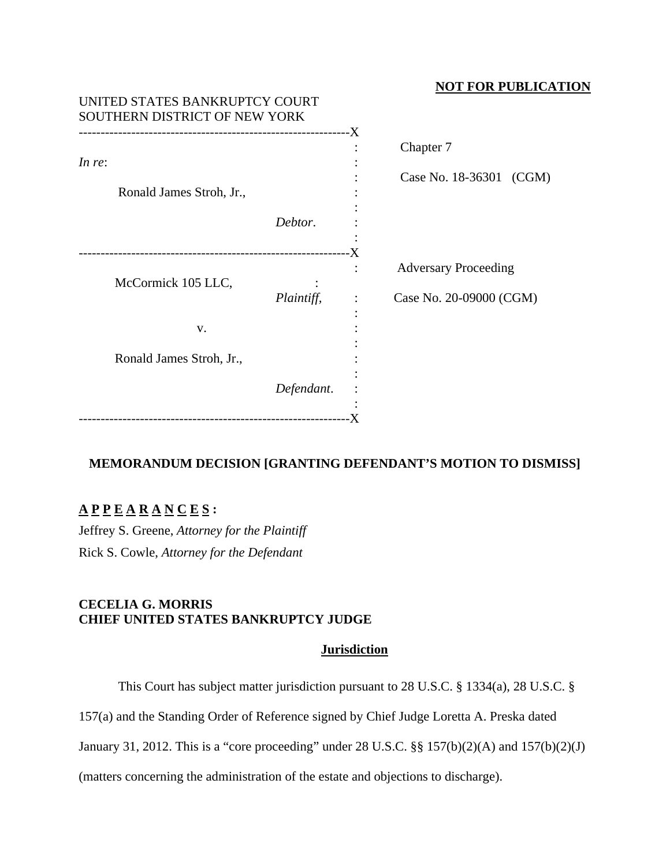# **NOT FOR PUBLICATION**

| UNITED STATES BANKRUPTCY COURT<br>SOUTHERN DISTRICT OF NEW YORK |                          |            |                |                             |
|-----------------------------------------------------------------|--------------------------|------------|----------------|-----------------------------|
| In re:                                                          |                          |            |                | Chapter 7                   |
|                                                                 | Ronald James Stroh, Jr., |            |                | Case No. 18-36301 (CGM)     |
|                                                                 |                          | Debtor.    |                |                             |
|                                                                 | McCormick 105 LLC,       |            |                | <b>Adversary Proceeding</b> |
|                                                                 |                          | Plaintiff, | $\ddot{\cdot}$ | Case No. 20-09000 (CGM)     |
|                                                                 | V.                       |            |                |                             |
|                                                                 | Ronald James Stroh, Jr., |            |                |                             |
|                                                                 |                          | Defendant. |                |                             |

# **MEMORANDUM DECISION [GRANTING DEFENDANT'S MOTION TO DISMISS]**

# **A P P E A R A N C E S :**

Jeffrey S. Greene, *Attorney for the Plaintiff* Rick S. Cowle, *Attorney for the Defendant*

# **CECELIA G. MORRIS CHIEF UNITED STATES BANKRUPTCY JUDGE**

# **Jurisdiction**

This Court has subject matter jurisdiction pursuant to 28 U.S.C. § 1334(a), 28 U.S.C. §

157(a) and the Standing Order of Reference signed by Chief Judge Loretta A. Preska dated

January 31, 2012. This is a "core proceeding" under 28 U.S.C. §§ 157(b)(2)(A) and 157(b)(2)(J)

(matters concerning the administration of the estate and objections to discharge).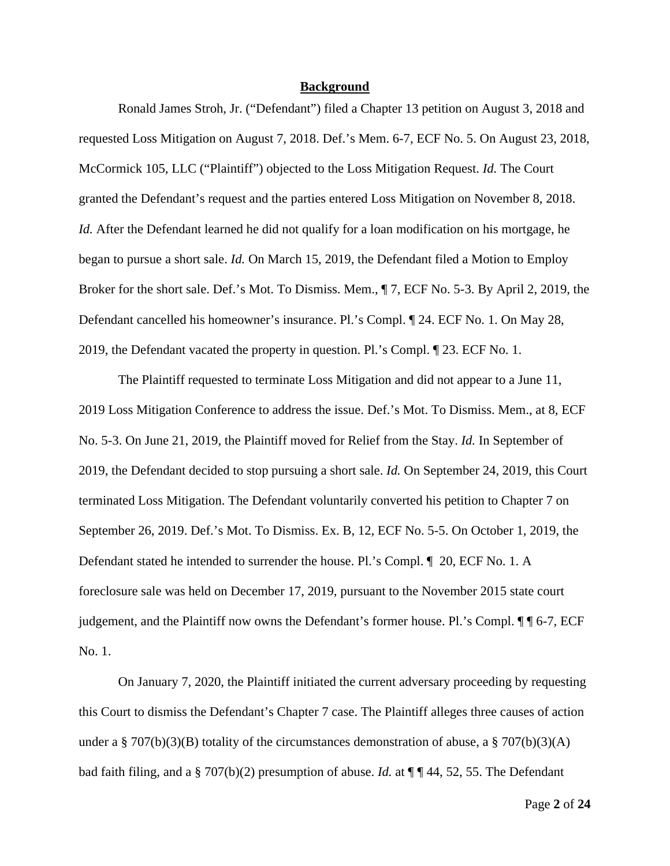### **Background**

Ronald James Stroh, Jr. ("Defendant") filed a Chapter 13 petition on August 3, 2018 and requested Loss Mitigation on August 7, 2018. Def.'s Mem. 6-7, ECF No. 5. On August 23, 2018, McCormick 105, LLC ("Plaintiff") objected to the Loss Mitigation Request. *Id.* The Court granted the Defendant's request and the parties entered Loss Mitigation on November 8, 2018. *Id.* After the Defendant learned he did not qualify for a loan modification on his mortgage, he began to pursue a short sale. *Id.* On March 15, 2019, the Defendant filed a Motion to Employ Broker for the short sale. Def.'s Mot. To Dismiss. Mem., ¶ 7, ECF No. 5-3. By April 2, 2019, the Defendant cancelled his homeowner's insurance. Pl.'s Compl. ¶ 24. ECF No. 1. On May 28, 2019, the Defendant vacated the property in question. Pl.'s Compl. ¶ 23. ECF No. 1.

The Plaintiff requested to terminate Loss Mitigation and did not appear to a June 11, 2019 Loss Mitigation Conference to address the issue. Def.'s Mot. To Dismiss. Mem., at 8, ECF No. 5-3. On June 21, 2019, the Plaintiff moved for Relief from the Stay. *Id.* In September of 2019, the Defendant decided to stop pursuing a short sale. *Id.* On September 24, 2019, this Court terminated Loss Mitigation. The Defendant voluntarily converted his petition to Chapter 7 on September 26, 2019. Def.'s Mot. To Dismiss. Ex. B, 12, ECF No. 5-5. On October 1, 2019, the Defendant stated he intended to surrender the house. Pl.'s Compl. ¶ 20, ECF No. 1. A foreclosure sale was held on December 17, 2019, pursuant to the November 2015 state court judgement, and the Plaintiff now owns the Defendant's former house. Pl.'s Compl. ¶ ¶ 6-7, ECF No. 1.

On January 7, 2020, the Plaintiff initiated the current adversary proceeding by requesting this Court to dismiss the Defendant's Chapter 7 case. The Plaintiff alleges three causes of action under a § 707(b)(3)(B) totality of the circumstances demonstration of abuse, a § 707(b)(3)(A) bad faith filing, and a § 707(b)(2) presumption of abuse. *Id.* at ¶ ¶ 44, 52, 55. The Defendant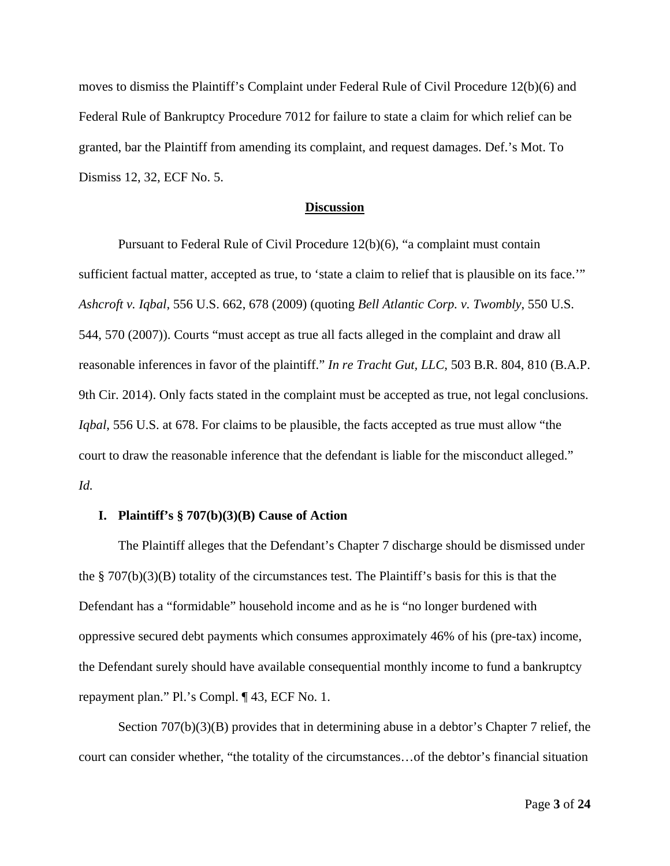moves to dismiss the Plaintiff's Complaint under Federal Rule of Civil Procedure 12(b)(6) and Federal Rule of Bankruptcy Procedure 7012 for failure to state a claim for which relief can be granted, bar the Plaintiff from amending its complaint, and request damages. Def.'s Mot. To Dismiss 12, 32, ECF No. 5.

#### **Discussion**

Pursuant to Federal Rule of Civil Procedure 12(b)(6), "a complaint must contain sufficient factual matter, accepted as true, to 'state a claim to relief that is plausible on its face.'" *Ashcroft v. Iqbal*, 556 U.S. 662, 678 (2009) (quoting *Bell Atlantic Corp. v. Twombly*, 550 U.S. 544, 570 (2007)). Courts "must accept as true all facts alleged in the complaint and draw all reasonable inferences in favor of the plaintiff." *In re Tracht Gut, LLC*, 503 B.R. 804, 810 (B.A.P. 9th Cir. 2014). Only facts stated in the complaint must be accepted as true, not legal conclusions. *Iqbal*, 556 U.S. at 678. For claims to be plausible, the facts accepted as true must allow "the court to draw the reasonable inference that the defendant is liable for the misconduct alleged." *Id.*

#### **I. Plaintiff's § 707(b)(3)(B) Cause of Action**

The Plaintiff alleges that the Defendant's Chapter 7 discharge should be dismissed under the  $\S 707(b)(3)(B)$  totality of the circumstances test. The Plaintiff's basis for this is that the Defendant has a "formidable" household income and as he is "no longer burdened with oppressive secured debt payments which consumes approximately 46% of his (pre-tax) income, the Defendant surely should have available consequential monthly income to fund a bankruptcy repayment plan." Pl.'s Compl. ¶ 43, ECF No. 1.

Section 707(b)(3)(B) provides that in determining abuse in a debtor's Chapter 7 relief, the court can consider whether, "the totality of the circumstances…of the debtor's financial situation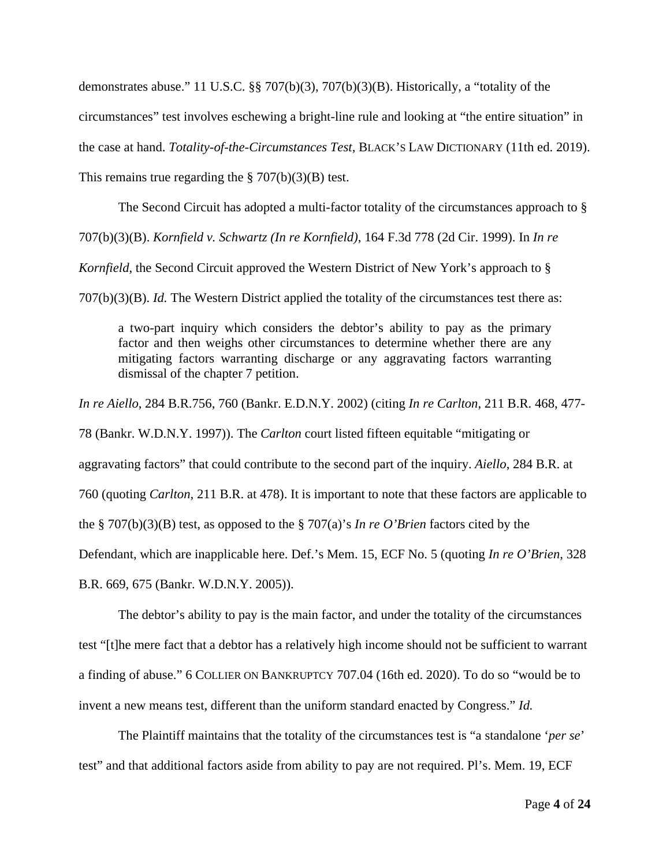demonstrates abuse." 11 U.S.C. §§ 707(b)(3), 707(b)(3)(B). Historically, a "totality of the circumstances" test involves eschewing a bright-line rule and looking at "the entire situation" in the case at hand. *Totality-of-the-Circumstances Test*, BLACK'S LAW DICTIONARY (11th ed. 2019). This remains true regarding the  $\S 707(b)(3)(B)$  test.

The Second Circuit has adopted a multi-factor totality of the circumstances approach to § 707(b)(3)(B). *Kornfield v. Schwartz (In re Kornfield)*, 164 F.3d 778 (2d Cir. 1999). In *In re*

*Kornfield*, the Second Circuit approved the Western District of New York's approach to §

707(b)(3)(B). *Id.* The Western District applied the totality of the circumstances test there as:

a two-part inquiry which considers the debtor's ability to pay as the primary factor and then weighs other circumstances to determine whether there are any mitigating factors warranting discharge or any aggravating factors warranting dismissal of the chapter 7 petition.

*In re Aiello*, 284 B.R.756, 760 (Bankr. E.D.N.Y. 2002) (citing *In re Carlton*, 211 B.R. 468, 477- 78 (Bankr. W.D.N.Y. 1997)). The *Carlton* court listed fifteen equitable "mitigating or aggravating factors" that could contribute to the second part of the inquiry. *Aiello*, 284 B.R. at 760 (quoting *Carlton*, 211 B.R. at 478). It is important to note that these factors are applicable to the § 707(b)(3)(B) test, as opposed to the § 707(a)'s *In re O'Brien* factors cited by the Defendant, which are inapplicable here. Def.'s Mem. 15, ECF No. 5 (quoting *In re O'Brien*, 328 B.R. 669, 675 (Bankr. W.D.N.Y. 2005)).

The debtor's ability to pay is the main factor, and under the totality of the circumstances test "[t]he mere fact that a debtor has a relatively high income should not be sufficient to warrant a finding of abuse." 6 COLLIER ON BANKRUPTCY 707.04 (16th ed. 2020). To do so "would be to invent a new means test, different than the uniform standard enacted by Congress." *Id.*

The Plaintiff maintains that the totality of the circumstances test is "a standalone '*per se*' test" and that additional factors aside from ability to pay are not required. Pl's. Mem. 19, ECF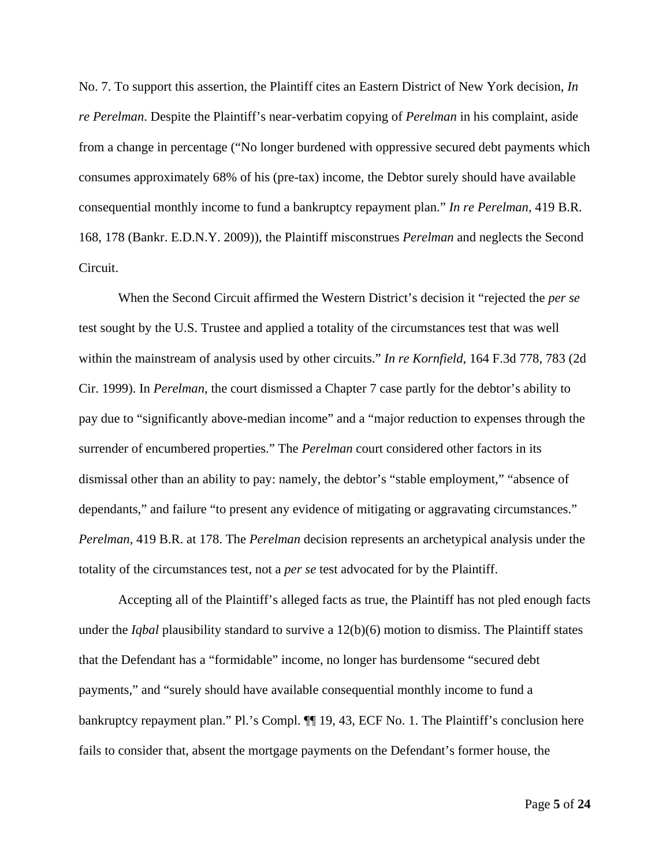No. 7. To support this assertion, the Plaintiff cites an Eastern District of New York decision, *In re Perelman*. Despite the Plaintiff's near-verbatim copying of *Perelman* in his complaint, aside from a change in percentage ("No longer burdened with oppressive secured debt payments which consumes approximately 68% of his (pre-tax) income, the Debtor surely should have available consequential monthly income to fund a bankruptcy repayment plan." *In re Perelman*, 419 B.R. 168, 178 (Bankr. E.D.N.Y. 2009)), the Plaintiff misconstrues *Perelman* and neglects the Second Circuit.

When the Second Circuit affirmed the Western District's decision it "rejected the *per se* test sought by the U.S. Trustee and applied a totality of the circumstances test that was well within the mainstream of analysis used by other circuits." *In re Kornfield*, 164 F.3d 778, 783 (2d Cir. 1999). In *Perelman*, the court dismissed a Chapter 7 case partly for the debtor's ability to pay due to "significantly above-median income" and a "major reduction to expenses through the surrender of encumbered properties." The *Perelman* court considered other factors in its dismissal other than an ability to pay: namely, the debtor's "stable employment," "absence of dependants," and failure "to present any evidence of mitigating or aggravating circumstances." *Perelman*, 419 B.R. at 178. The *Perelman* decision represents an archetypical analysis under the totality of the circumstances test, not a *per se* test advocated for by the Plaintiff.

Accepting all of the Plaintiff's alleged facts as true, the Plaintiff has not pled enough facts under the *Iqbal* plausibility standard to survive a 12(b)(6) motion to dismiss. The Plaintiff states that the Defendant has a "formidable" income, no longer has burdensome "secured debt payments," and "surely should have available consequential monthly income to fund a bankruptcy repayment plan." Pl.'s Compl.  $\P$  19, 43, ECF No. 1. The Plaintiff's conclusion here fails to consider that, absent the mortgage payments on the Defendant's former house, the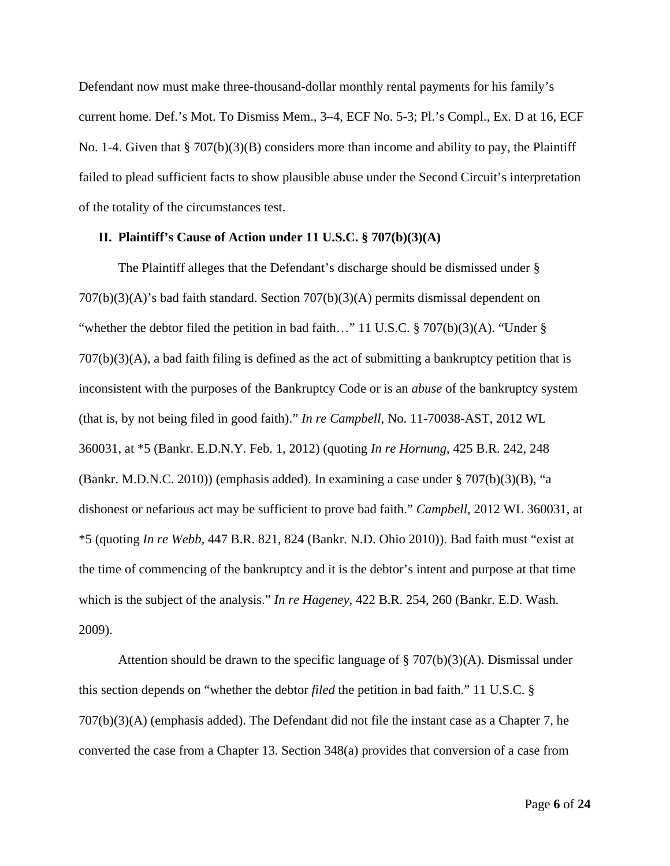Defendant now must make three-thousand-dollar monthly rental payments for his family's current home. Def.'s Mot. To Dismiss Mem., 3–4, ECF No. 5-3; Pl.'s Compl., Ex. D at 16, ECF No. 1-4. Given that § 707(b)(3)(B) considers more than income and ability to pay, the Plaintiff failed to plead sufficient facts to show plausible abuse under the Second Circuit's interpretation of the totality of the circumstances test.

### **II. Plaintiff's Cause of Action under 11 U.S.C. § 707(b)(3)(A)**

The Plaintiff alleges that the Defendant's discharge should be dismissed under § 707(b)(3)(A)'s bad faith standard. Section 707(b)(3)(A) permits dismissal dependent on "whether the debtor filed the petition in bad faith..." 11 U.S.C. § 707(b)(3)(A). "Under § 707(b)(3)(A), a bad faith filing is defined as the act of submitting a bankruptcy petition that is inconsistent with the purposes of the Bankruptcy Code or is an *abuse* of the bankruptcy system (that is, by not being filed in good faith)." *In re Campbell*, No. 11-70038-AST, 2012 WL 360031, at \*5 (Bankr. E.D.N.Y. Feb. 1, 2012) (quoting *In re Hornung*, 425 B.R. 242, 248 (Bankr. M.D.N.C. 2010)) (emphasis added). In examining a case under § 707(b)(3)(B), "a dishonest or nefarious act may be sufficient to prove bad faith." *Campbell*, 2012 WL 360031, at \*5 (quoting *In re Webb*, 447 B.R. 821, 824 (Bankr. N.D. Ohio 2010)). Bad faith must "exist at the time of commencing of the bankruptcy and it is the debtor's intent and purpose at that time which is the subject of the analysis." *In re Hageney*, 422 B.R. 254, 260 (Bankr. E.D. Wash. 2009).

Attention should be drawn to the specific language of  $\S 707(b)(3)(A)$ . Dismissal under this section depends on "whether the debtor *filed* the petition in bad faith." 11 U.S.C. § 707(b)(3)(A) (emphasis added). The Defendant did not file the instant case as a Chapter 7, he converted the case from a Chapter 13. Section 348(a) provides that conversion of a case from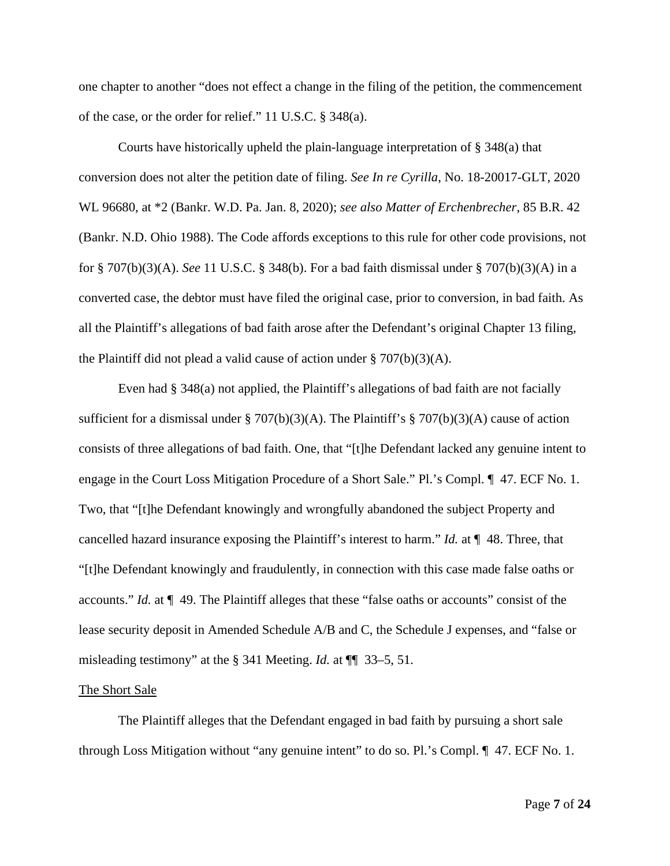one chapter to another "does not effect a change in the filing of the petition, the commencement of the case, or the order for relief." 11 U.S.C. § 348(a).

Courts have historically upheld the plain-language interpretation of § 348(a) that conversion does not alter the petition date of filing. *See In re Cyrilla*, No. 18-20017-GLT, 2020 WL 96680, at \*2 (Bankr. W.D. Pa. Jan. 8, 2020); *see also Matter of Erchenbrecher*, 85 B.R. 42 (Bankr. N.D. Ohio 1988). The Code affords exceptions to this rule for other code provisions, not for § 707(b)(3)(A). *See* 11 U.S.C. § 348(b). For a bad faith dismissal under § 707(b)(3)(A) in a converted case, the debtor must have filed the original case, prior to conversion, in bad faith. As all the Plaintiff's allegations of bad faith arose after the Defendant's original Chapter 13 filing, the Plaintiff did not plead a valid cause of action under  $\S 707(b)(3)(A)$ .

Even had § 348(a) not applied, the Plaintiff's allegations of bad faith are not facially sufficient for a dismissal under  $\S 707(b)(3)(A)$ . The Plaintiff's  $\S 707(b)(3)(A)$  cause of action consists of three allegations of bad faith. One, that "[t]he Defendant lacked any genuine intent to engage in the Court Loss Mitigation Procedure of a Short Sale." Pl.'s Compl. ¶ 47. ECF No. 1. Two, that "[t]he Defendant knowingly and wrongfully abandoned the subject Property and cancelled hazard insurance exposing the Plaintiff's interest to harm." *Id.* at ¶ 48. Three, that "[t]he Defendant knowingly and fraudulently, in connection with this case made false oaths or accounts." *Id.* at ¶ 49. The Plaintiff alleges that these "false oaths or accounts" consist of the lease security deposit in Amended Schedule A/B and C, the Schedule J expenses, and "false or misleading testimony" at the § 341 Meeting. *Id.* at ¶¶ 33–5, 51.

#### The Short Sale

The Plaintiff alleges that the Defendant engaged in bad faith by pursuing a short sale through Loss Mitigation without "any genuine intent" to do so. Pl.'s Compl. ¶ 47. ECF No. 1.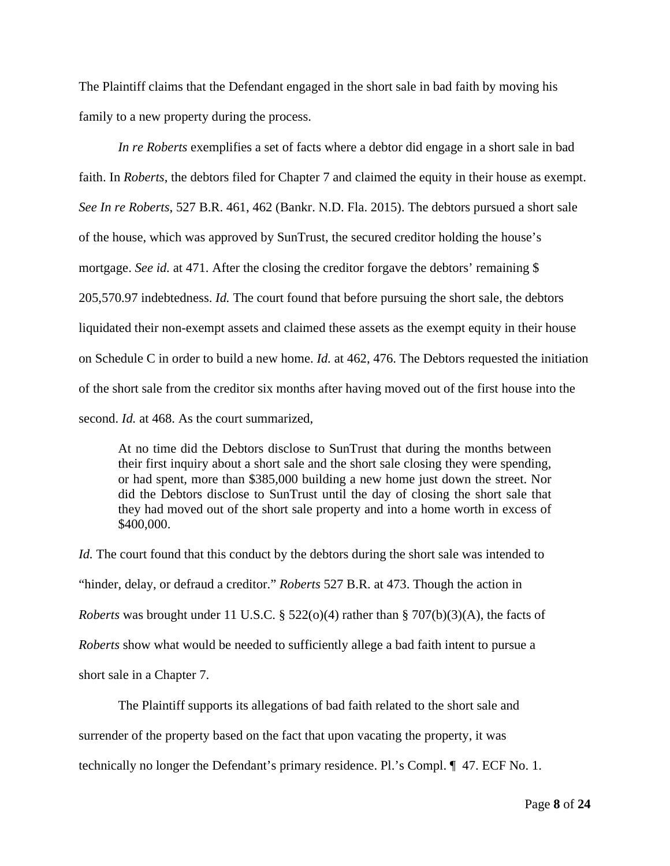The Plaintiff claims that the Defendant engaged in the short sale in bad faith by moving his family to a new property during the process.

*In re Roberts* exemplifies a set of facts where a debtor did engage in a short sale in bad faith. In *Roberts*, the debtors filed for Chapter 7 and claimed the equity in their house as exempt. *See In re Roberts*, 527 B.R. 461, 462 (Bankr. N.D. Fla. 2015). The debtors pursued a short sale of the house, which was approved by SunTrust, the secured creditor holding the house's mortgage. *See id.* at 471. After the closing the creditor forgave the debtors' remaining \$ 205,570.97 indebtedness. *Id.* The court found that before pursuing the short sale, the debtors liquidated their non-exempt assets and claimed these assets as the exempt equity in their house on Schedule C in order to build a new home. *Id.* at 462, 476. The Debtors requested the initiation of the short sale from the creditor six months after having moved out of the first house into the second. *Id.* at 468. As the court summarized,

At no time did the Debtors disclose to SunTrust that during the months between their first inquiry about a short sale and the short sale closing they were spending, or had spent, more than \$385,000 building a new home just down the street. Nor did the Debtors disclose to SunTrust until the day of closing the short sale that they had moved out of the short sale property and into a home worth in excess of \$400,000.

*Id.* The court found that this conduct by the debtors during the short sale was intended to "hinder, delay, or defraud a creditor." *Roberts* 527 B.R. at 473. Though the action in *Roberts* was brought under 11 U.S.C. § 522(o)(4) rather than § 707(b)(3)(A), the facts of *Roberts* show what would be needed to sufficiently allege a bad faith intent to pursue a short sale in a Chapter 7.

The Plaintiff supports its allegations of bad faith related to the short sale and surrender of the property based on the fact that upon vacating the property, it was technically no longer the Defendant's primary residence. Pl.'s Compl. ¶ 47. ECF No. 1.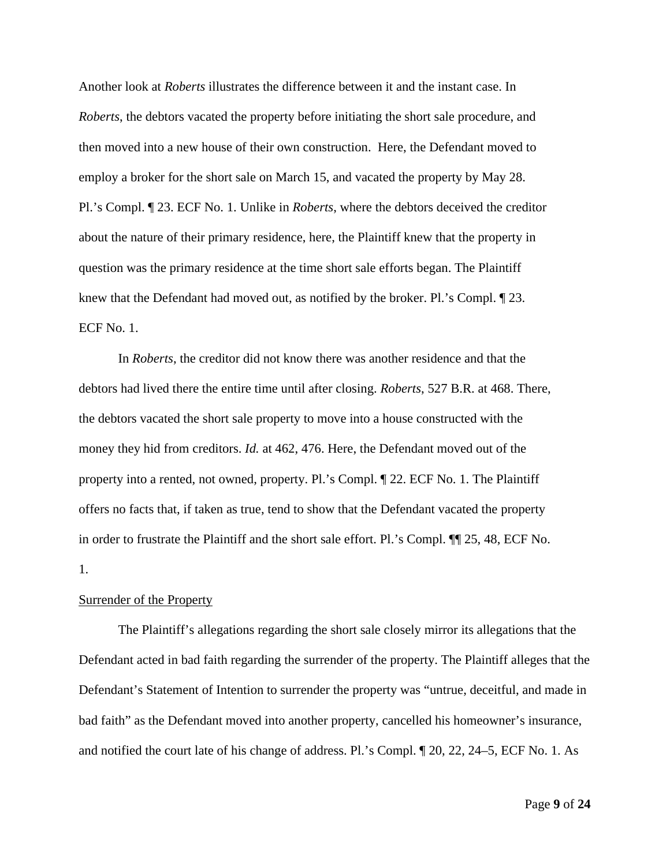Another look at *Roberts* illustrates the difference between it and the instant case. In *Roberts*, the debtors vacated the property before initiating the short sale procedure, and then moved into a new house of their own construction. Here, the Defendant moved to employ a broker for the short sale on March 15, and vacated the property by May 28. Pl.'s Compl. ¶ 23. ECF No. 1. Unlike in *Roberts*, where the debtors deceived the creditor about the nature of their primary residence, here, the Plaintiff knew that the property in question was the primary residence at the time short sale efforts began. The Plaintiff knew that the Defendant had moved out, as notified by the broker. Pl.'s Compl. ¶ 23. ECF No. 1.

In *Roberts*, the creditor did not know there was another residence and that the debtors had lived there the entire time until after closing. *Roberts*, 527 B.R. at 468. There, the debtors vacated the short sale property to move into a house constructed with the money they hid from creditors. *Id.* at 462, 476. Here, the Defendant moved out of the property into a rented, not owned, property. Pl.'s Compl. ¶ 22. ECF No. 1. The Plaintiff offers no facts that, if taken as true, tend to show that the Defendant vacated the property in order to frustrate the Plaintiff and the short sale effort. Pl.'s Compl. ¶¶ 25, 48, ECF No. 1.

### Surrender of the Property

The Plaintiff's allegations regarding the short sale closely mirror its allegations that the Defendant acted in bad faith regarding the surrender of the property. The Plaintiff alleges that the Defendant's Statement of Intention to surrender the property was "untrue, deceitful, and made in bad faith" as the Defendant moved into another property, cancelled his homeowner's insurance, and notified the court late of his change of address. Pl.'s Compl. ¶ 20, 22, 24–5, ECF No. 1. As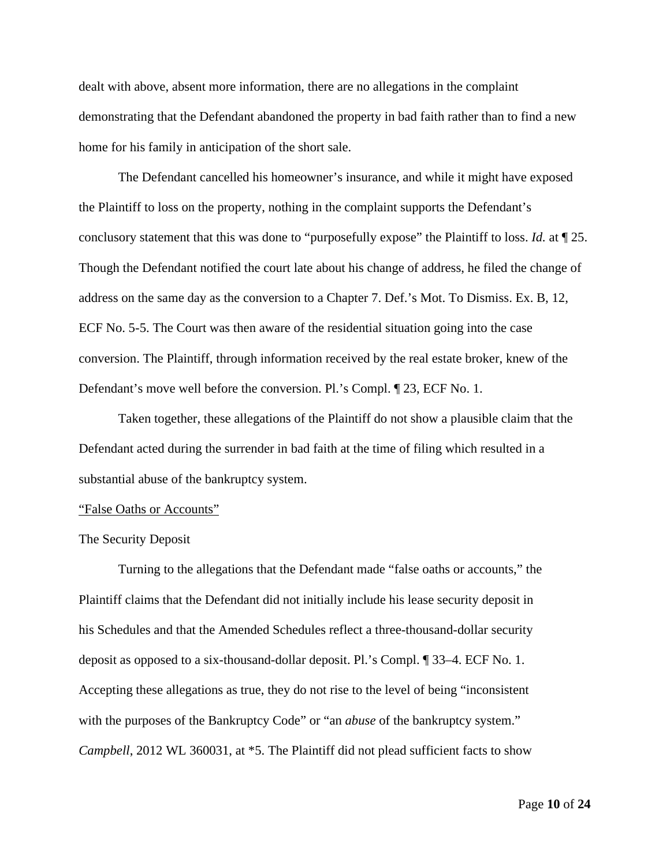dealt with above, absent more information, there are no allegations in the complaint demonstrating that the Defendant abandoned the property in bad faith rather than to find a new home for his family in anticipation of the short sale.

The Defendant cancelled his homeowner's insurance, and while it might have exposed the Plaintiff to loss on the property, nothing in the complaint supports the Defendant's conclusory statement that this was done to "purposefully expose" the Plaintiff to loss. *Id.* at ¶ 25. Though the Defendant notified the court late about his change of address, he filed the change of address on the same day as the conversion to a Chapter 7. Def.'s Mot. To Dismiss. Ex. B, 12, ECF No. 5-5. The Court was then aware of the residential situation going into the case conversion. The Plaintiff, through information received by the real estate broker, knew of the Defendant's move well before the conversion. Pl.'s Compl. ¶ 23, ECF No. 1.

Taken together, these allegations of the Plaintiff do not show a plausible claim that the Defendant acted during the surrender in bad faith at the time of filing which resulted in a substantial abuse of the bankruptcy system.

### "False Oaths or Accounts"

#### The Security Deposit

Turning to the allegations that the Defendant made "false oaths or accounts," the Plaintiff claims that the Defendant did not initially include his lease security deposit in his Schedules and that the Amended Schedules reflect a three-thousand-dollar security deposit as opposed to a six-thousand-dollar deposit. Pl.'s Compl. ¶ 33–4. ECF No. 1. Accepting these allegations as true, they do not rise to the level of being "inconsistent with the purposes of the Bankruptcy Code" or "an *abuse* of the bankruptcy system." *Campbell*, 2012 WL 360031, at \*5. The Plaintiff did not plead sufficient facts to show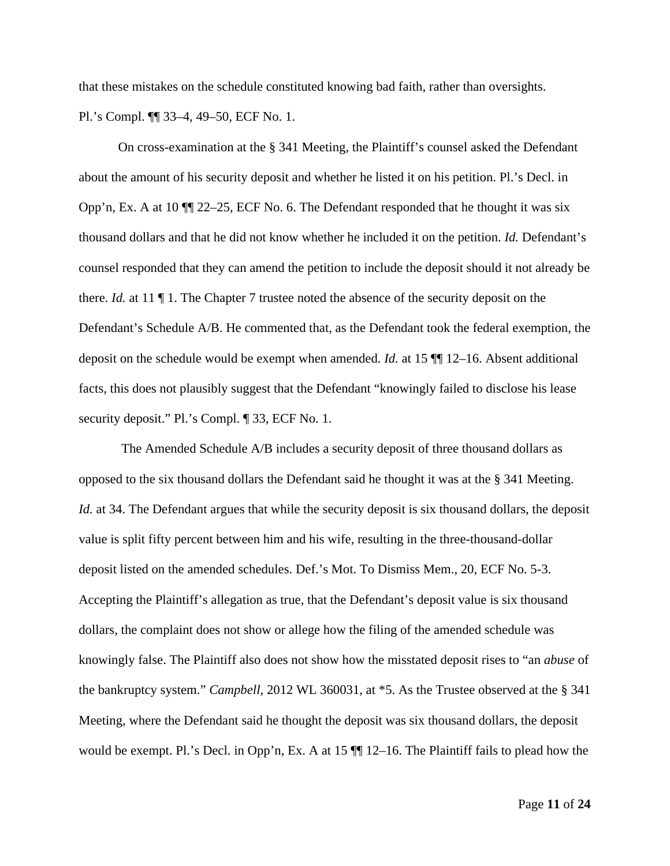that these mistakes on the schedule constituted knowing bad faith, rather than oversights. Pl.'s Compl. ¶¶ 33–4, 49–50, ECF No. 1.

On cross-examination at the § 341 Meeting, the Plaintiff's counsel asked the Defendant about the amount of his security deposit and whether he listed it on his petition. Pl.'s Decl. in Opp'n, Ex. A at 10 ¶¶ 22–25, ECF No. 6. The Defendant responded that he thought it was six thousand dollars and that he did not know whether he included it on the petition. *Id.* Defendant's counsel responded that they can amend the petition to include the deposit should it not already be there. *Id.* at 11 ¶ 1. The Chapter 7 trustee noted the absence of the security deposit on the Defendant's Schedule A/B. He commented that, as the Defendant took the federal exemption, the deposit on the schedule would be exempt when amended. *Id.* at 15 ¶¶ 12–16. Absent additional facts, this does not plausibly suggest that the Defendant "knowingly failed to disclose his lease security deposit." Pl.'s Compl. ¶ 33, ECF No. 1.

The Amended Schedule A/B includes a security deposit of three thousand dollars as opposed to the six thousand dollars the Defendant said he thought it was at the § 341 Meeting. *Id.* at 34. The Defendant argues that while the security deposit is six thousand dollars, the deposit value is split fifty percent between him and his wife, resulting in the three-thousand-dollar deposit listed on the amended schedules. Def.'s Mot. To Dismiss Mem., 20, ECF No. 5-3. Accepting the Plaintiff's allegation as true, that the Defendant's deposit value is six thousand dollars, the complaint does not show or allege how the filing of the amended schedule was knowingly false. The Plaintiff also does not show how the misstated deposit rises to "an *abuse* of the bankruptcy system." *Campbell*, 2012 WL 360031, at \*5. As the Trustee observed at the § 341 Meeting, where the Defendant said he thought the deposit was six thousand dollars, the deposit would be exempt. Pl.'s Decl. in Opp'n, Ex. A at 15 ¶¶ 12–16. The Plaintiff fails to plead how the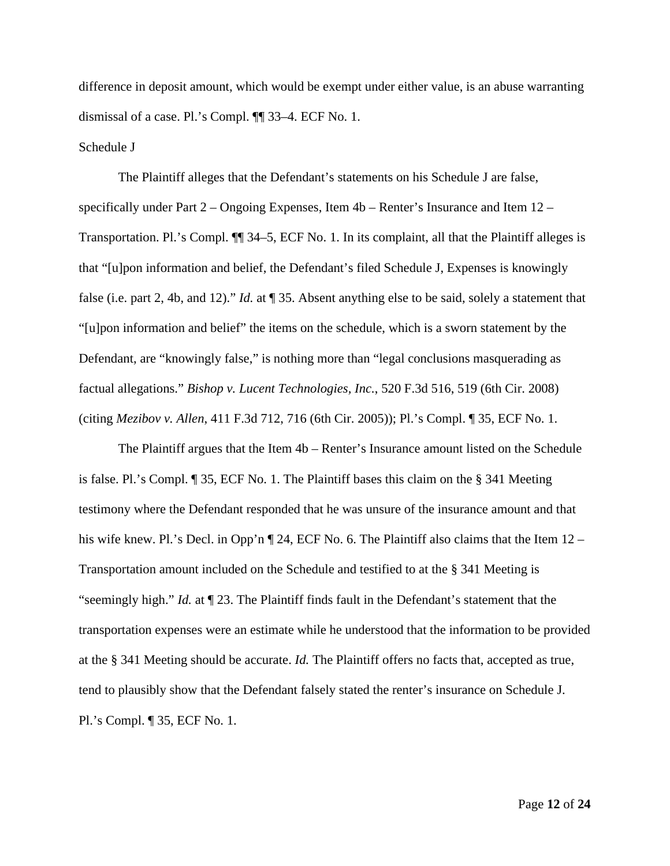difference in deposit amount, which would be exempt under either value, is an abuse warranting dismissal of a case. Pl.'s Compl. ¶¶ 33–4. ECF No. 1.

### Schedule J

The Plaintiff alleges that the Defendant's statements on his Schedule J are false, specifically under Part 2 – Ongoing Expenses, Item 4b – Renter's Insurance and Item 12 – Transportation. Pl.'s Compl. ¶¶ 34–5, ECF No. 1. In its complaint, all that the Plaintiff alleges is that "[u]pon information and belief, the Defendant's filed Schedule J, Expenses is knowingly false (i.e. part 2, 4b, and 12)." *Id.* at ¶ 35. Absent anything else to be said, solely a statement that "[u]pon information and belief" the items on the schedule, which is a sworn statement by the Defendant, are "knowingly false," is nothing more than "legal conclusions masquerading as factual allegations." *Bishop v. Lucent Technologies, Inc.*, 520 F.3d 516, 519 (6th Cir. 2008) (citing *Mezibov v. Allen*, 411 F.3d 712, 716 (6th Cir. 2005)); Pl.'s Compl. ¶ 35, ECF No. 1.

The Plaintiff argues that the Item 4b – Renter's Insurance amount listed on the Schedule is false. Pl.'s Compl. ¶ 35, ECF No. 1. The Plaintiff bases this claim on the § 341 Meeting testimony where the Defendant responded that he was unsure of the insurance amount and that his wife knew. Pl.'s Decl. in Opp'n  $\P$  24, ECF No. 6. The Plaintiff also claims that the Item 12 – Transportation amount included on the Schedule and testified to at the § 341 Meeting is "seemingly high." *Id.* at ¶ 23. The Plaintiff finds fault in the Defendant's statement that the transportation expenses were an estimate while he understood that the information to be provided at the § 341 Meeting should be accurate. *Id.* The Plaintiff offers no facts that, accepted as true, tend to plausibly show that the Defendant falsely stated the renter's insurance on Schedule J. Pl.'s Compl. ¶ 35, ECF No. 1.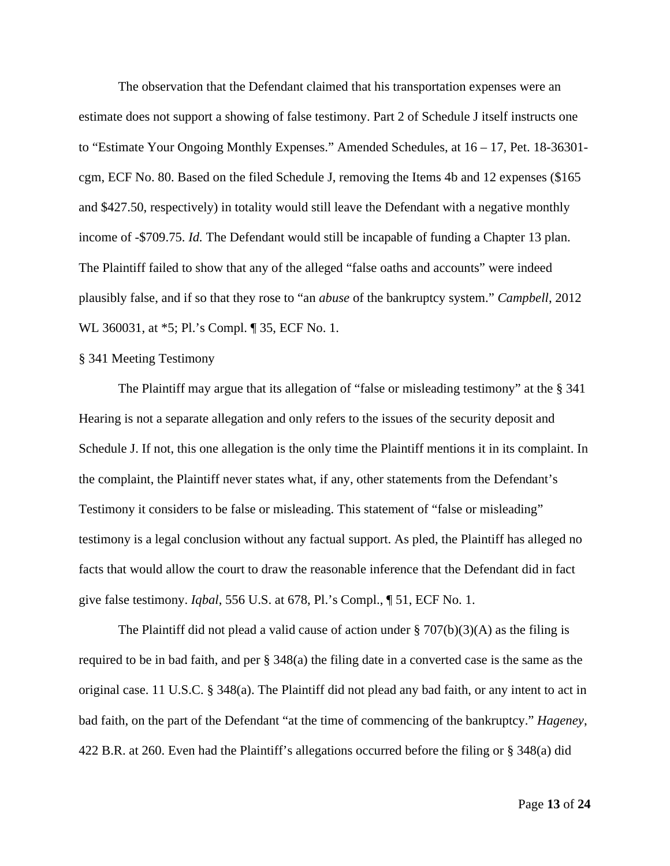The observation that the Defendant claimed that his transportation expenses were an estimate does not support a showing of false testimony. Part 2 of Schedule J itself instructs one to "Estimate Your Ongoing Monthly Expenses." Amended Schedules, at 16 – 17, Pet. 18-36301 cgm, ECF No. 80. Based on the filed Schedule J, removing the Items 4b and 12 expenses (\$165 and \$427.50, respectively) in totality would still leave the Defendant with a negative monthly income of -\$709.75. *Id.* The Defendant would still be incapable of funding a Chapter 13 plan. The Plaintiff failed to show that any of the alleged "false oaths and accounts" were indeed plausibly false, and if so that they rose to "an *abuse* of the bankruptcy system." *Campbell*, 2012 WL 360031, at \*5; Pl.'s Compl. ¶ 35, ECF No. 1.

# § 341 Meeting Testimony

The Plaintiff may argue that its allegation of "false or misleading testimony" at the § 341 Hearing is not a separate allegation and only refers to the issues of the security deposit and Schedule J. If not, this one allegation is the only time the Plaintiff mentions it in its complaint. In the complaint, the Plaintiff never states what, if any, other statements from the Defendant's Testimony it considers to be false or misleading. This statement of "false or misleading" testimony is a legal conclusion without any factual support. As pled, the Plaintiff has alleged no facts that would allow the court to draw the reasonable inference that the Defendant did in fact give false testimony. *Iqbal*, 556 U.S. at 678, Pl.'s Compl., ¶ 51, ECF No. 1.

The Plaintiff did not plead a valid cause of action under  $\S 707(b)(3)(A)$  as the filing is required to be in bad faith, and per § 348(a) the filing date in a converted case is the same as the original case. 11 U.S.C. § 348(a). The Plaintiff did not plead any bad faith, or any intent to act in bad faith, on the part of the Defendant "at the time of commencing of the bankruptcy." *Hageney*, 422 B.R. at 260. Even had the Plaintiff's allegations occurred before the filing or § 348(a) did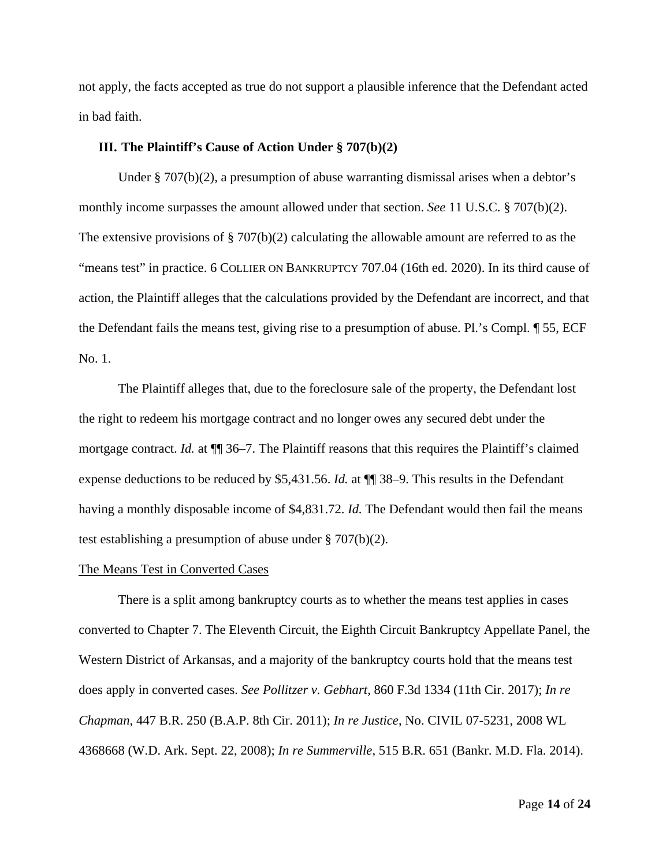not apply, the facts accepted as true do not support a plausible inference that the Defendant acted in bad faith.

# **III. The Plaintiff's Cause of Action Under § 707(b)(2)**

Under § 707(b)(2), a presumption of abuse warranting dismissal arises when a debtor's monthly income surpasses the amount allowed under that section. *See* 11 U.S.C. § 707(b)(2). The extensive provisions of § 707(b)(2) calculating the allowable amount are referred to as the "means test" in practice. 6 COLLIER ON BANKRUPTCY 707.04 (16th ed. 2020). In its third cause of action, the Plaintiff alleges that the calculations provided by the Defendant are incorrect, and that the Defendant fails the means test, giving rise to a presumption of abuse. Pl.'s Compl. ¶ 55, ECF No. 1.

The Plaintiff alleges that, due to the foreclosure sale of the property, the Defendant lost the right to redeem his mortgage contract and no longer owes any secured debt under the mortgage contract. *Id.* at ¶¶ 36–7. The Plaintiff reasons that this requires the Plaintiff's claimed expense deductions to be reduced by \$5,431.56. *Id.* at  $\P$  38–9. This results in the Defendant having a monthly disposable income of \$4,831.72. *Id.* The Defendant would then fail the means test establishing a presumption of abuse under § 707(b)(2).

#### The Means Test in Converted Cases

There is a split among bankruptcy courts as to whether the means test applies in cases converted to Chapter 7. The Eleventh Circuit, the Eighth Circuit Bankruptcy Appellate Panel, the Western District of Arkansas, and a majority of the bankruptcy courts hold that the means test does apply in converted cases. *See Pollitzer v. Gebhart*, 860 F.3d 1334 (11th Cir. 2017); *In re Chapman*, 447 B.R. 250 (B.A.P. 8th Cir. 2011); *In re Justice*, No. CIVIL 07-5231, 2008 WL 4368668 (W.D. Ark. Sept. 22, 2008); *In re Summerville*, 515 B.R. 651 (Bankr. M.D. Fla. 2014).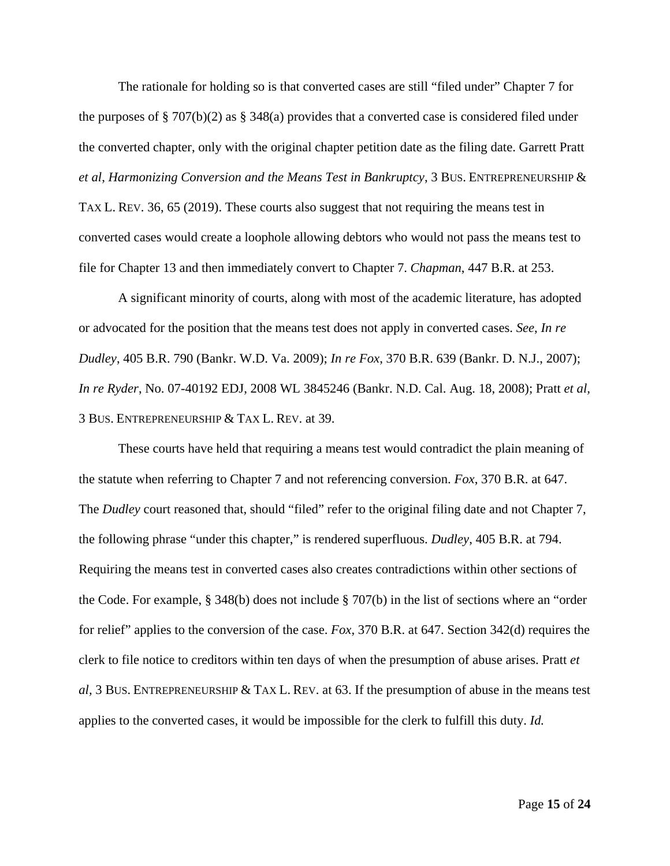The rationale for holding so is that converted cases are still "filed under" Chapter 7 for the purposes of § 707(b)(2) as § 348(a) provides that a converted case is considered filed under the converted chapter, only with the original chapter petition date as the filing date. Garrett Pratt *et al*, *Harmonizing Conversion and the Means Test in Bankruptcy*, 3 BUS. ENTREPRENEURSHIP & TAX L. REV. 36, 65 (2019). These courts also suggest that not requiring the means test in converted cases would create a loophole allowing debtors who would not pass the means test to file for Chapter 13 and then immediately convert to Chapter 7. *Chapman*, 447 B.R. at 253.

A significant minority of courts, along with most of the academic literature, has adopted or advocated for the position that the means test does not apply in converted cases. *See*, *In re Dudley*, 405 B.R. 790 (Bankr. W.D. Va. 2009); *In re Fox*, 370 B.R. 639 (Bankr. D. N.J., 2007); *In re Ryder*, No. 07-40192 EDJ, 2008 WL 3845246 (Bankr. N.D. Cal. Aug. 18, 2008); Pratt *et al,*  3 BUS. ENTREPRENEURSHIP & TAX L. REV. at 39.

These courts have held that requiring a means test would contradict the plain meaning of the statute when referring to Chapter 7 and not referencing conversion. *Fox*, 370 B.R. at 647. The *Dudley* court reasoned that, should "filed" refer to the original filing date and not Chapter 7, the following phrase "under this chapter," is rendered superfluous. *Dudley*, 405 B.R. at 794. Requiring the means test in converted cases also creates contradictions within other sections of the Code. For example, § 348(b) does not include § 707(b) in the list of sections where an "order for relief" applies to the conversion of the case. *Fox*, 370 B.R. at 647. Section 342(d) requires the clerk to file notice to creditors within ten days of when the presumption of abuse arises. Pratt *et al,* 3 BUS. ENTREPRENEURSHIP & TAX L. REV. at 63. If the presumption of abuse in the means test applies to the converted cases, it would be impossible for the clerk to fulfill this duty. *Id.*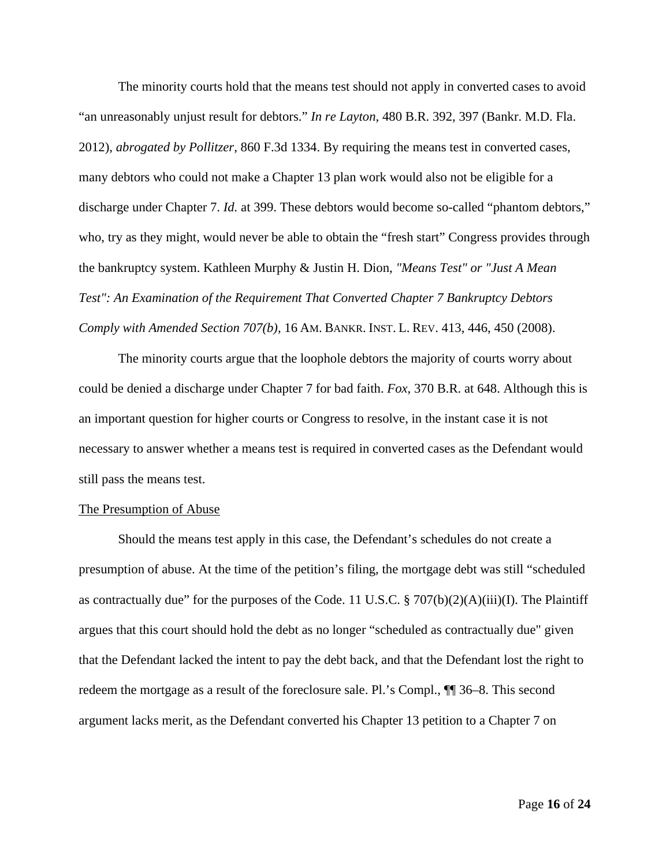The minority courts hold that the means test should not apply in converted cases to avoid "an unreasonably unjust result for debtors." *In re Layton*, 480 B.R. 392, 397 (Bankr. M.D. Fla. 2012), *abrogated by Pollitzer*, 860 F.3d 1334. By requiring the means test in converted cases, many debtors who could not make a Chapter 13 plan work would also not be eligible for a discharge under Chapter 7. *Id.* at 399. These debtors would become so-called "phantom debtors," who, try as they might, would never be able to obtain the "fresh start" Congress provides through the bankruptcy system. Kathleen Murphy & Justin H. Dion, *"Means Test" or "Just A Mean Test": An Examination of the Requirement That Converted Chapter 7 Bankruptcy Debtors Comply with Amended Section 707(b)*, 16 AM. BANKR. INST. L. REV. 413, 446, 450 (2008).

The minority courts argue that the loophole debtors the majority of courts worry about could be denied a discharge under Chapter 7 for bad faith. *Fox*, 370 B.R. at 648. Although this is an important question for higher courts or Congress to resolve, in the instant case it is not necessary to answer whether a means test is required in converted cases as the Defendant would still pass the means test.

### The Presumption of Abuse

Should the means test apply in this case, the Defendant's schedules do not create a presumption of abuse. At the time of the petition's filing, the mortgage debt was still "scheduled as contractually due" for the purposes of the Code. 11 U.S.C. § 707(b)(2)(A)(iii)(I). The Plaintiff argues that this court should hold the debt as no longer "scheduled as contractually due" given that the Defendant lacked the intent to pay the debt back, and that the Defendant lost the right to redeem the mortgage as a result of the foreclosure sale. Pl.'s Compl., ¶¶ 36–8. This second argument lacks merit, as the Defendant converted his Chapter 13 petition to a Chapter 7 on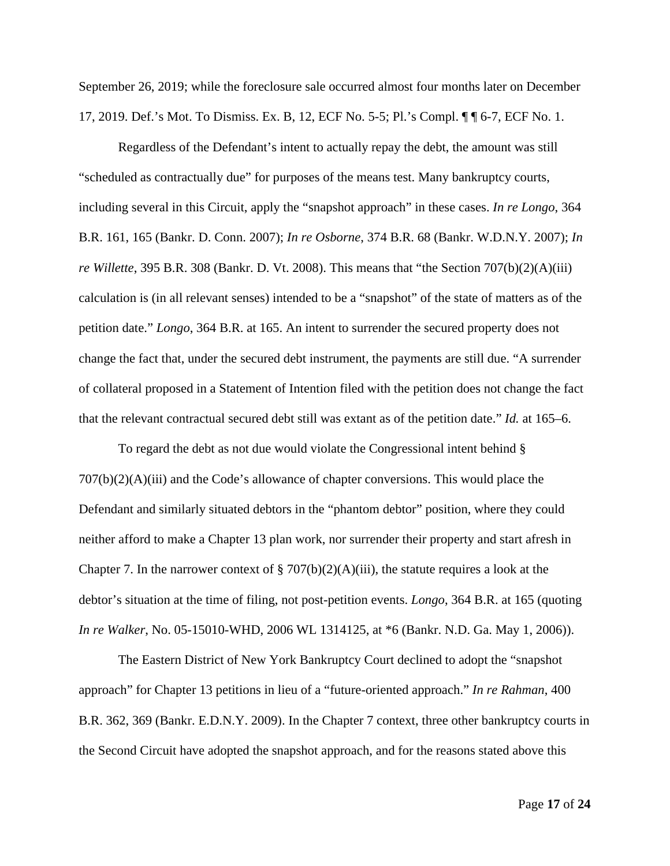September 26, 2019; while the foreclosure sale occurred almost four months later on December 17, 2019. Def.'s Mot. To Dismiss. Ex. B, 12, ECF No. 5-5; Pl.'s Compl. ¶ ¶ 6-7, ECF No. 1.

Regardless of the Defendant's intent to actually repay the debt, the amount was still "scheduled as contractually due" for purposes of the means test. Many bankruptcy courts, including several in this Circuit, apply the "snapshot approach" in these cases. *In re Longo*, 364 B.R. 161, 165 (Bankr. D. Conn. 2007); *In re Osborne*, 374 B.R. 68 (Bankr. W.D.N.Y. 2007); *In re Willette*, 395 B.R. 308 (Bankr. D. Vt. 2008). This means that "the Section 707(b)(2)(A)(iii) calculation is (in all relevant senses) intended to be a "snapshot" of the state of matters as of the petition date." *Longo*, 364 B.R. at 165. An intent to surrender the secured property does not change the fact that, under the secured debt instrument, the payments are still due. "A surrender of collateral proposed in a Statement of Intention filed with the petition does not change the fact that the relevant contractual secured debt still was extant as of the petition date." *Id.* at 165–6.

To regard the debt as not due would violate the Congressional intent behind § 707(b)(2)(A)(iii) and the Code's allowance of chapter conversions. This would place the Defendant and similarly situated debtors in the "phantom debtor" position, where they could neither afford to make a Chapter 13 plan work, nor surrender their property and start afresh in Chapter 7. In the narrower context of  $\S 707(b)(2)(A)(iii)$ , the statute requires a look at the debtor's situation at the time of filing, not post-petition events. *Longo*, 364 B.R. at 165 (quoting *In re Walker*, No. 05-15010-WHD, 2006 WL 1314125, at \*6 (Bankr. N.D. Ga. May 1, 2006)).

The Eastern District of New York Bankruptcy Court declined to adopt the "snapshot approach" for Chapter 13 petitions in lieu of a "future-oriented approach." *In re Rahman*, 400 B.R. 362, 369 (Bankr. E.D.N.Y. 2009). In the Chapter 7 context, three other bankruptcy courts in the Second Circuit have adopted the snapshot approach, and for the reasons stated above this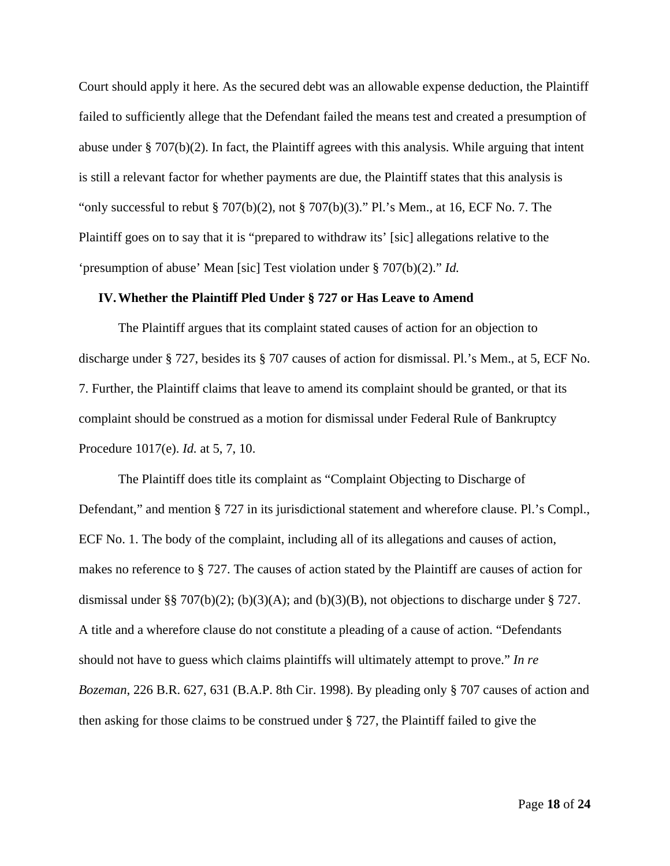Court should apply it here. As the secured debt was an allowable expense deduction, the Plaintiff failed to sufficiently allege that the Defendant failed the means test and created a presumption of abuse under § 707(b)(2). In fact, the Plaintiff agrees with this analysis. While arguing that intent is still a relevant factor for whether payments are due, the Plaintiff states that this analysis is "only successful to rebut  $\S 707(b)(2)$ , not  $\S 707(b)(3)$ ." Pl.'s Mem., at 16, ECF No. 7. The Plaintiff goes on to say that it is "prepared to withdraw its' [sic] allegations relative to the 'presumption of abuse' Mean [sic] Test violation under § 707(b)(2)." *Id.*

#### **IV.Whether the Plaintiff Pled Under § 727 or Has Leave to Amend**

The Plaintiff argues that its complaint stated causes of action for an objection to discharge under § 727, besides its § 707 causes of action for dismissal. Pl.'s Mem., at 5, ECF No. 7. Further, the Plaintiff claims that leave to amend its complaint should be granted, or that its complaint should be construed as a motion for dismissal under Federal Rule of Bankruptcy Procedure 1017(e). *Id.* at 5, 7, 10.

The Plaintiff does title its complaint as "Complaint Objecting to Discharge of Defendant," and mention § 727 in its jurisdictional statement and wherefore clause. Pl.'s Compl., ECF No. 1. The body of the complaint, including all of its allegations and causes of action, makes no reference to § 727. The causes of action stated by the Plaintiff are causes of action for dismissal under §§ 707(b)(2); (b)(3)(A); and (b)(3)(B), not objections to discharge under § 727. A title and a wherefore clause do not constitute a pleading of a cause of action. "Defendants should not have to guess which claims plaintiffs will ultimately attempt to prove." *In re Bozeman*, 226 B.R. 627, 631 (B.A.P. 8th Cir. 1998). By pleading only § 707 causes of action and then asking for those claims to be construed under § 727, the Plaintiff failed to give the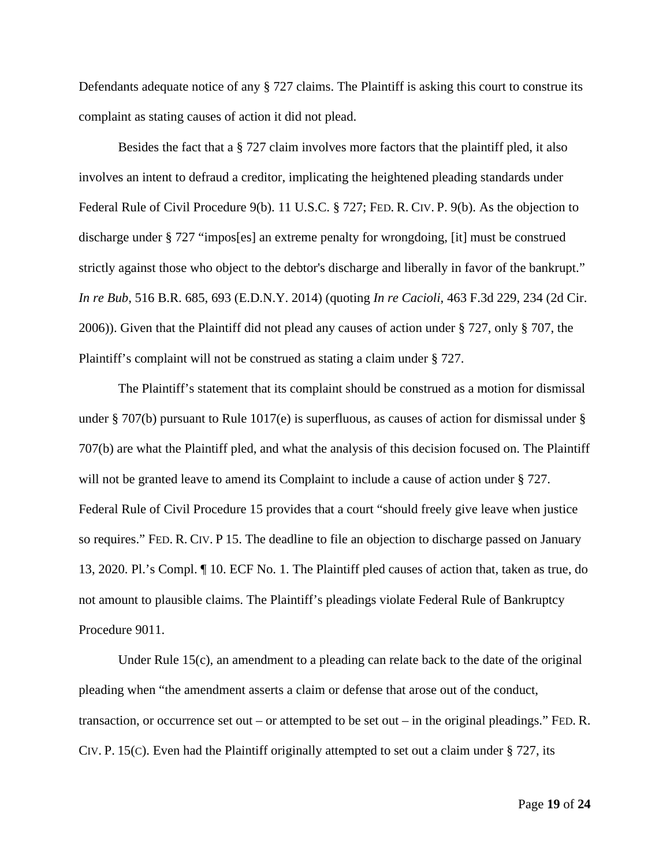Defendants adequate notice of any § 727 claims. The Plaintiff is asking this court to construe its complaint as stating causes of action it did not plead.

Besides the fact that a  $\S 727$  claim involves more factors that the plaintiff pled, it also involves an intent to defraud a creditor, implicating the heightened pleading standards under Federal Rule of Civil Procedure 9(b). 11 U.S.C. § 727; FED. R. CIV. P. 9(b). As the objection to discharge under § 727 "impos[es] an extreme penalty for wrongdoing, [it] must be construed strictly against those who object to the debtor's discharge and liberally in favor of the bankrupt." *In re Bub*, 516 B.R. 685, 693 (E.D.N.Y. 2014) (quoting *In re Cacioli*, 463 F.3d 229, 234 (2d Cir. 2006)). Given that the Plaintiff did not plead any causes of action under § 727, only § 707, the Plaintiff's complaint will not be construed as stating a claim under § 727.

The Plaintiff's statement that its complaint should be construed as a motion for dismissal under § 707(b) pursuant to Rule 1017(e) is superfluous, as causes of action for dismissal under § 707(b) are what the Plaintiff pled, and what the analysis of this decision focused on. The Plaintiff will not be granted leave to amend its Complaint to include a cause of action under § 727. Federal Rule of Civil Procedure 15 provides that a court "should freely give leave when justice so requires." FED. R. CIV. P 15. The deadline to file an objection to discharge passed on January 13, 2020. Pl.'s Compl. ¶ 10. ECF No. 1. The Plaintiff pled causes of action that, taken as true, do not amount to plausible claims. The Plaintiff's pleadings violate Federal Rule of Bankruptcy Procedure 9011.

Under Rule 15(c), an amendment to a pleading can relate back to the date of the original pleading when "the amendment asserts a claim or defense that arose out of the conduct, transaction, or occurrence set out – or attempted to be set out – in the original pleadings." FED. R. CIV. P. 15(C). Even had the Plaintiff originally attempted to set out a claim under  $\S$  727, its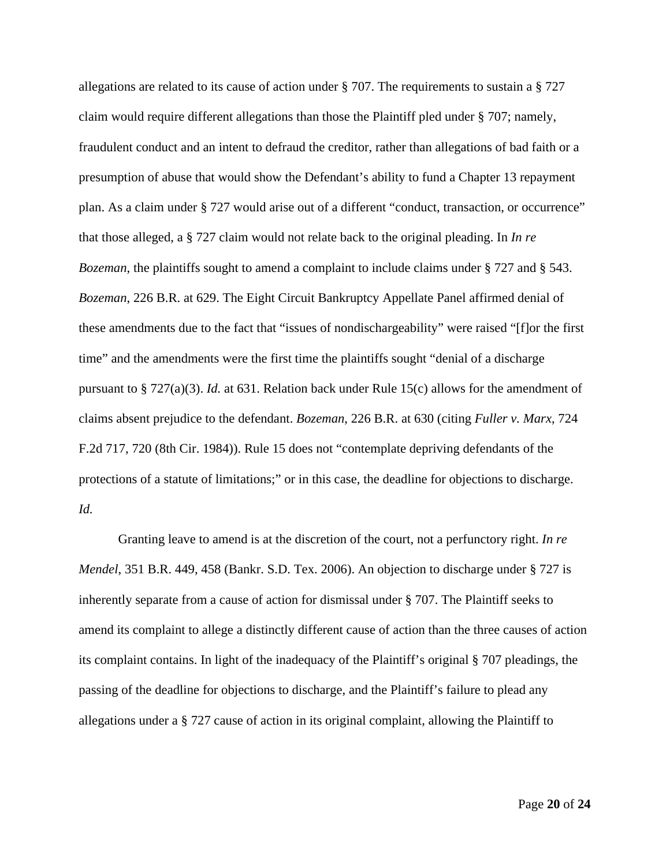allegations are related to its cause of action under § 707. The requirements to sustain a § 727 claim would require different allegations than those the Plaintiff pled under § 707; namely, fraudulent conduct and an intent to defraud the creditor, rather than allegations of bad faith or a presumption of abuse that would show the Defendant's ability to fund a Chapter 13 repayment plan. As a claim under § 727 would arise out of a different "conduct, transaction, or occurrence" that those alleged, a § 727 claim would not relate back to the original pleading. In *In re Bozeman*, the plaintiffs sought to amend a complaint to include claims under § 727 and § 543. *Bozeman*, 226 B.R. at 629. The Eight Circuit Bankruptcy Appellate Panel affirmed denial of these amendments due to the fact that "issues of nondischargeability" were raised "[f]or the first time" and the amendments were the first time the plaintiffs sought "denial of a discharge pursuant to § 727(a)(3). *Id.* at 631. Relation back under Rule 15(c) allows for the amendment of claims absent prejudice to the defendant. *Bozeman*, 226 B.R. at 630 (citing *Fuller v. Marx*, 724 F.2d 717, 720 (8th Cir. 1984)). Rule 15 does not "contemplate depriving defendants of the protections of a statute of limitations;" or in this case, the deadline for objections to discharge. *Id.*

Granting leave to amend is at the discretion of the court, not a perfunctory right. *In re Mendel*, 351 B.R. 449, 458 (Bankr. S.D. Tex. 2006). An objection to discharge under § 727 is inherently separate from a cause of action for dismissal under § 707. The Plaintiff seeks to amend its complaint to allege a distinctly different cause of action than the three causes of action its complaint contains. In light of the inadequacy of the Plaintiff's original § 707 pleadings, the passing of the deadline for objections to discharge, and the Plaintiff's failure to plead any allegations under a § 727 cause of action in its original complaint, allowing the Plaintiff to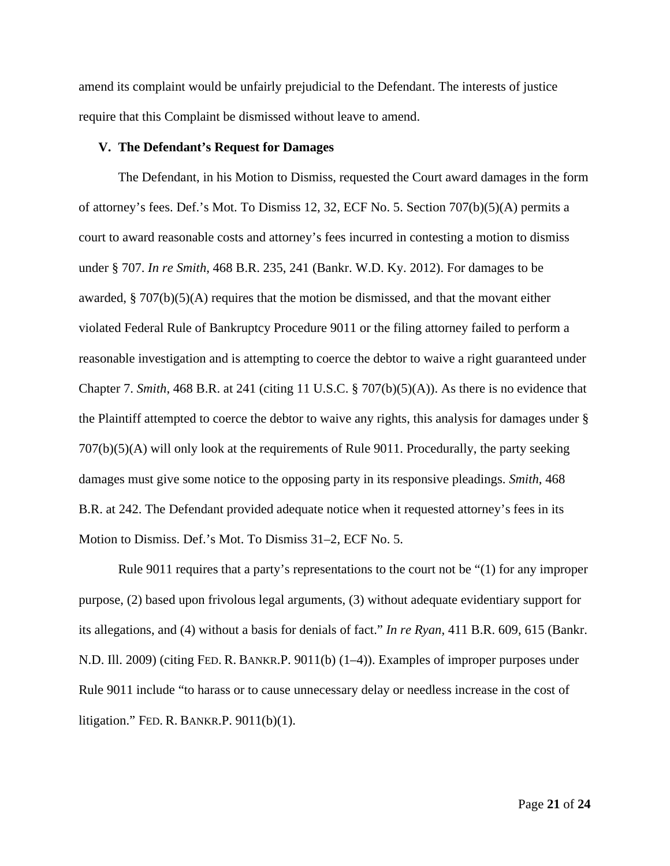amend its complaint would be unfairly prejudicial to the Defendant. The interests of justice require that this Complaint be dismissed without leave to amend.

#### **V. The Defendant's Request for Damages**

The Defendant, in his Motion to Dismiss, requested the Court award damages in the form of attorney's fees. Def.'s Mot. To Dismiss 12, 32, ECF No. 5. Section 707(b)(5)(A) permits a court to award reasonable costs and attorney's fees incurred in contesting a motion to dismiss under § 707. *In re Smith*, 468 B.R. 235, 241 (Bankr. W.D. Ky. 2012). For damages to be awarded,  $\S 707(b)(5)(A)$  requires that the motion be dismissed, and that the movant either violated Federal Rule of Bankruptcy Procedure 9011 or the filing attorney failed to perform a reasonable investigation and is attempting to coerce the debtor to waive a right guaranteed under Chapter 7. *Smith*, 468 B.R. at 241 (citing 11 U.S.C. § 707(b)(5)(A)). As there is no evidence that the Plaintiff attempted to coerce the debtor to waive any rights, this analysis for damages under § 707(b)(5)(A) will only look at the requirements of Rule 9011. Procedurally, the party seeking damages must give some notice to the opposing party in its responsive pleadings. *Smith*, 468 B.R. at 242. The Defendant provided adequate notice when it requested attorney's fees in its Motion to Dismiss. Def.'s Mot. To Dismiss 31–2, ECF No. 5.

Rule 9011 requires that a party's representations to the court not be "(1) for any improper purpose, (2) based upon frivolous legal arguments, (3) without adequate evidentiary support for its allegations, and (4) without a basis for denials of fact." *In re Ryan*, 411 B.R. 609, 615 (Bankr. N.D. Ill. 2009) (citing FED. R. BANKR.P. 9011(b) (1–4)). Examples of improper purposes under Rule 9011 include "to harass or to cause unnecessary delay or needless increase in the cost of litigation." FED. R. BANKR.P. 9011(b)(1).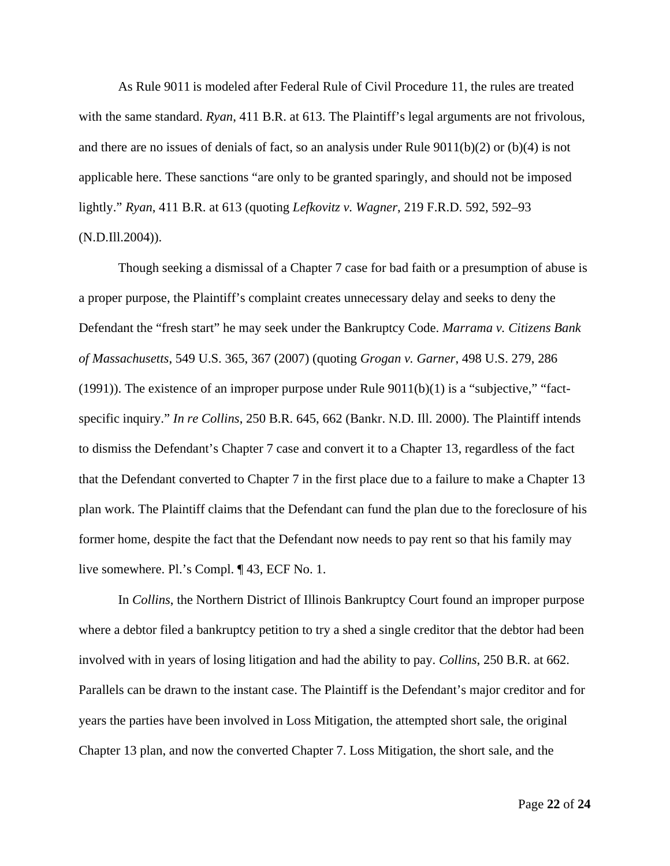As Rule 9011 is modeled after Federal Rule of Civil Procedure 11, the rules are treated with the same standard. *Ryan*, 411 B.R. at 613. The Plaintiff's legal arguments are not frivolous, and there are no issues of denials of fact, so an analysis under Rule  $9011(b)(2)$  or  $(b)(4)$  is not applicable here. These sanctions "are only to be granted sparingly, and should not be imposed lightly." *Ryan*, 411 B.R. at 613 (quoting *Lefkovitz v. Wagner*, 219 F.R.D. 592, 592–93 (N.D.Ill.2004)).

Though seeking a dismissal of a Chapter 7 case for bad faith or a presumption of abuse is a proper purpose, the Plaintiff's complaint creates unnecessary delay and seeks to deny the Defendant the "fresh start" he may seek under the Bankruptcy Code. *Marrama v. Citizens Bank of Massachusetts*, 549 U.S. 365, 367 (2007) (quoting *Grogan v. Garner*, 498 U.S. 279, 286 (1991)). The existence of an improper purpose under Rule  $9011(b)(1)$  is a "subjective," "factspecific inquiry." *In re Collins*, 250 B.R. 645, 662 (Bankr. N.D. Ill. 2000). The Plaintiff intends to dismiss the Defendant's Chapter 7 case and convert it to a Chapter 13, regardless of the fact that the Defendant converted to Chapter 7 in the first place due to a failure to make a Chapter 13 plan work. The Plaintiff claims that the Defendant can fund the plan due to the foreclosure of his former home, despite the fact that the Defendant now needs to pay rent so that his family may live somewhere. Pl.'s Compl. ¶ 43, ECF No. 1.

In *Collins*, the Northern District of Illinois Bankruptcy Court found an improper purpose where a debtor filed a bankruptcy petition to try a shed a single creditor that the debtor had been involved with in years of losing litigation and had the ability to pay. *Collins*, 250 B.R. at 662. Parallels can be drawn to the instant case. The Plaintiff is the Defendant's major creditor and for years the parties have been involved in Loss Mitigation, the attempted short sale, the original Chapter 13 plan, and now the converted Chapter 7. Loss Mitigation, the short sale, and the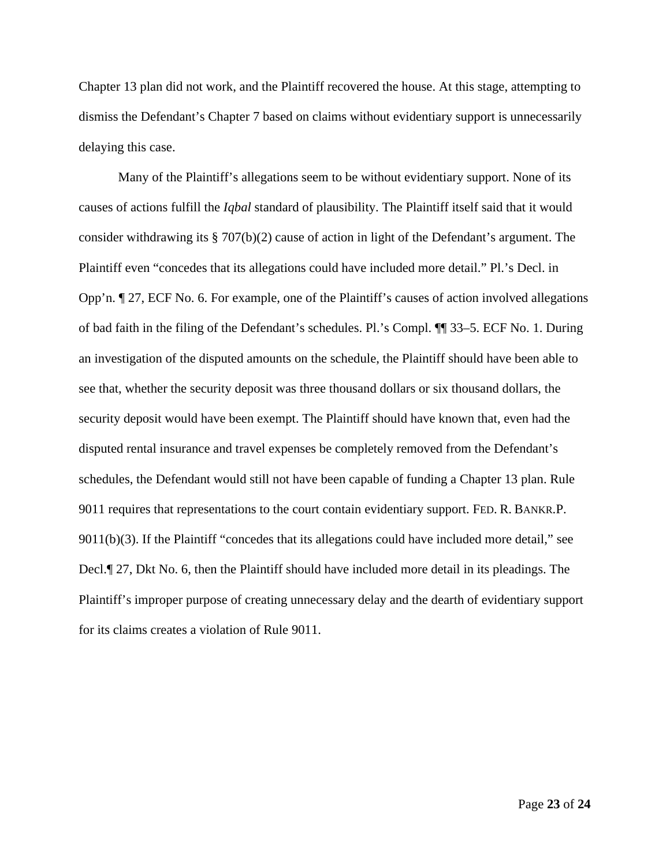Chapter 13 plan did not work, and the Plaintiff recovered the house. At this stage, attempting to dismiss the Defendant's Chapter 7 based on claims without evidentiary support is unnecessarily delaying this case.

Many of the Plaintiff's allegations seem to be without evidentiary support. None of its causes of actions fulfill the *Iqbal* standard of plausibility. The Plaintiff itself said that it would consider withdrawing its § 707(b)(2) cause of action in light of the Defendant's argument. The Plaintiff even "concedes that its allegations could have included more detail." Pl.'s Decl. in Opp'n. ¶ 27, ECF No. 6. For example, one of the Plaintiff's causes of action involved allegations of bad faith in the filing of the Defendant's schedules. Pl.'s Compl. ¶¶ 33–5. ECF No. 1. During an investigation of the disputed amounts on the schedule, the Plaintiff should have been able to see that, whether the security deposit was three thousand dollars or six thousand dollars, the security deposit would have been exempt. The Plaintiff should have known that, even had the disputed rental insurance and travel expenses be completely removed from the Defendant's schedules, the Defendant would still not have been capable of funding a Chapter 13 plan. Rule 9011 requires that representations to the court contain evidentiary support. FED. R. BANKR.P. 9011(b)(3). If the Plaintiff "concedes that its allegations could have included more detail," see Decl.¶ 27, Dkt No. 6, then the Plaintiff should have included more detail in its pleadings. The Plaintiff's improper purpose of creating unnecessary delay and the dearth of evidentiary support for its claims creates a violation of Rule 9011.